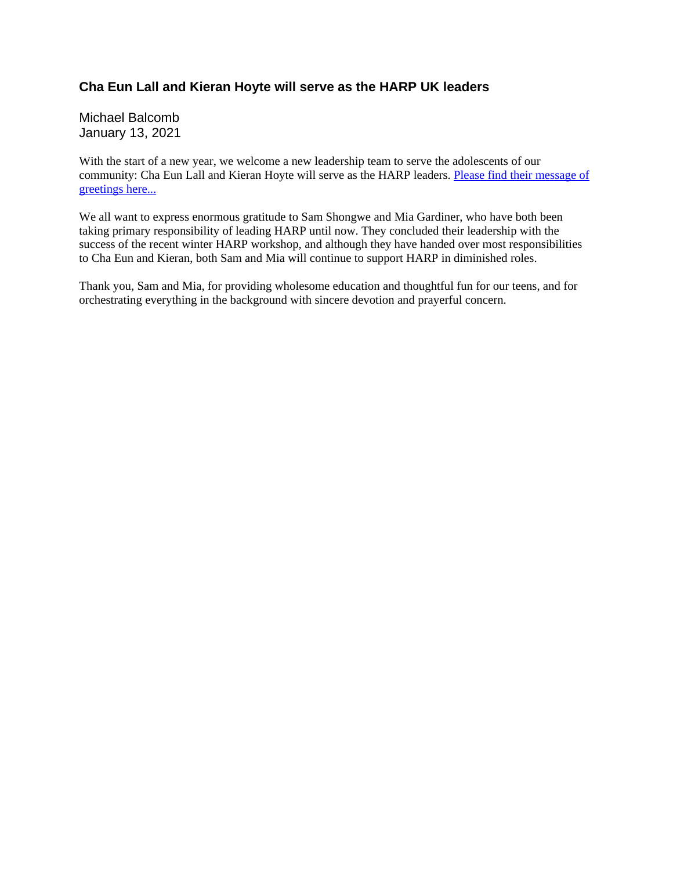## **Cha Eun Lall and Kieran Hoyte will serve as the HARP UK leaders**

Michael Balcomb January 13, 2021

With the start of a new year, we welcome a new leadership team to serve the adolescents of our community: Cha Eun Lall and Kieran Hoyte will serve as the HARP leaders. Please find their message of greetings here...

We all want to express enormous gratitude to Sam Shongwe and Mia Gardiner, who have both been taking primary responsibility of leading HARP until now. They concluded their leadership with the success of the recent winter HARP workshop, and although they have handed over most responsibilities to Cha Eun and Kieran, both Sam and Mia will continue to support HARP in diminished roles.

Thank you, Sam and Mia, for providing wholesome education and thoughtful fun for our teens, and for orchestrating everything in the background with sincere devotion and prayerful concern.